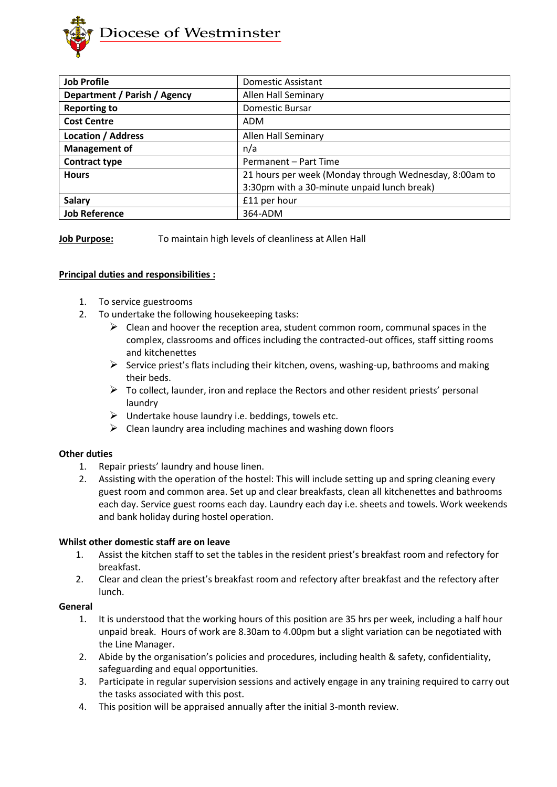

| <b>Job Profile</b>           | <b>Domestic Assistant</b>                              |
|------------------------------|--------------------------------------------------------|
| Department / Parish / Agency | <b>Allen Hall Seminary</b>                             |
| <b>Reporting to</b>          | Domestic Bursar                                        |
| <b>Cost Centre</b>           | ADM                                                    |
| <b>Location / Address</b>    | <b>Allen Hall Seminary</b>                             |
| <b>Management of</b>         | n/a                                                    |
| <b>Contract type</b>         | Permanent - Part Time                                  |
| <b>Hours</b>                 | 21 hours per week (Monday through Wednesday, 8:00am to |
|                              | 3:30pm with a 30-minute unpaid lunch break)            |
| <b>Salary</b>                | £11 per hour                                           |
| <b>Job Reference</b>         | 364-ADM                                                |

**Job Purpose:** To maintain high levels of cleanliness at Allen Hall

## **Principal duties and responsibilities :**

- 1. To service guestrooms
- 2. To undertake the following housekeeping tasks:
	- $\triangleright$  Clean and hoover the reception area, student common room, communal spaces in the complex, classrooms and offices including the contracted-out offices, staff sitting rooms and kitchenettes
	- ➢ Service priest's flats including their kitchen, ovens, washing-up, bathrooms and making their beds.
	- $\triangleright$  To collect, launder, iron and replace the Rectors and other resident priests' personal laundry
	- $\triangleright$  Undertake house laundry i.e. beddings, towels etc.
	- $\triangleright$  Clean laundry area including machines and washing down floors

## **Other duties**

- 1. Repair priests' laundry and house linen.
- 2. Assisting with the operation of the hostel: This will include setting up and spring cleaning every guest room and common area. Set up and clear breakfasts, clean all kitchenettes and bathrooms each day. Service guest rooms each day. Laundry each day i.e. sheets and towels. Work weekends and bank holiday during hostel operation.

## **Whilst other domestic staff are on leave**

- 1. Assist the kitchen staff to set the tables in the resident priest's breakfast room and refectory for breakfast.
- 2. Clear and clean the priest's breakfast room and refectory after breakfast and the refectory after lunch.

## **General**

- 1. It is understood that the working hours of this position are 35 hrs per week, including a half hour unpaid break. Hours of work are 8.30am to 4.00pm but a slight variation can be negotiated with the Line Manager.
- 2. Abide by the organisation's policies and procedures, including health & safety, confidentiality, safeguarding and equal opportunities.
- 3. Participate in regular supervision sessions and actively engage in any training required to carry out the tasks associated with this post.
- 4. This position will be appraised annually after the initial 3-month review.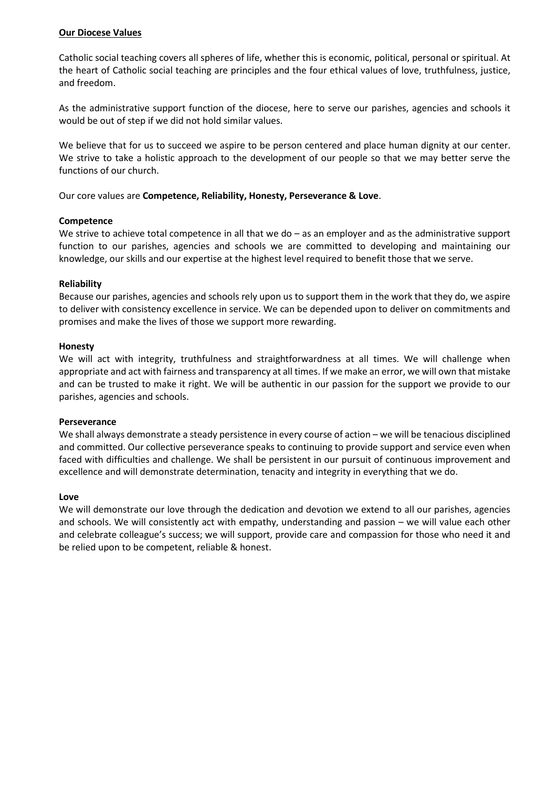## **Our Diocese Values**

Catholic social teaching covers all spheres of life, whether this is economic, political, personal or spiritual. At the heart of Catholic social teaching are principles and the four ethical values of love, truthfulness, justice, and freedom.

As the administrative support function of the diocese, here to serve our parishes, agencies and schools it would be out of step if we did not hold similar values.

We believe that for us to succeed we aspire to be person centered and place human dignity at our center. We strive to take a holistic approach to the development of our people so that we may better serve the functions of our church.

Our core values are **Competence, Reliability, Honesty, Perseverance & Love**.

#### **Competence**

We strive to achieve total competence in all that we do – as an employer and as the administrative support function to our parishes, agencies and schools we are committed to developing and maintaining our knowledge, our skills and our expertise at the highest level required to benefit those that we serve.

## **Reliability**

Because our parishes, agencies and schools rely upon us to support them in the work that they do, we aspire to deliver with consistency excellence in service. We can be depended upon to deliver on commitments and promises and make the lives of those we support more rewarding.

#### **Honesty**

We will act with integrity, truthfulness and straightforwardness at all times. We will challenge when appropriate and act with fairness and transparency at all times. If we make an error, we will own that mistake and can be trusted to make it right. We will be authentic in our passion for the support we provide to our parishes, agencies and schools.

#### **Perseverance**

We shall always demonstrate a steady persistence in every course of action – we will be tenacious disciplined and committed. Our collective perseverance speaks to continuing to provide support and service even when faced with difficulties and challenge. We shall be persistent in our pursuit of continuous improvement and excellence and will demonstrate determination, tenacity and integrity in everything that we do.

#### **Love**

We will demonstrate our love through the dedication and devotion we extend to all our parishes, agencies and schools. We will consistently act with empathy, understanding and passion – we will value each other and celebrate colleague's success; we will support, provide care and compassion for those who need it and be relied upon to be competent, reliable & honest.